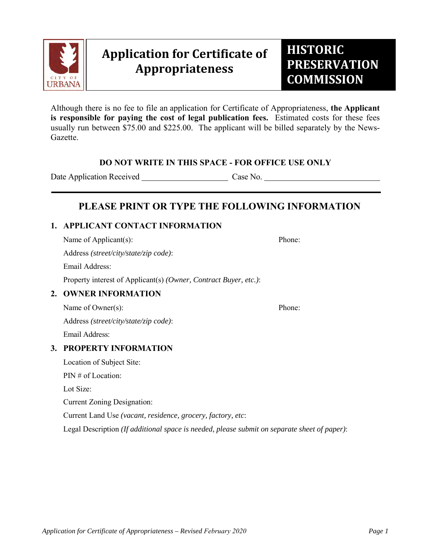

# **Application for Certificate of Appropriateness**

Although there is no fee to file an application for Certificate of Appropriateness, **the Applicant is responsible for paying the cost of legal publication fees.** Estimated costs for these fees usually run between \$75.00 and \$225.00. The applicant will be billed separately by the News-Gazette.

#### **DO NOT WRITE IN THIS SPACE - FOR OFFICE USE ONLY**

Date Application Received Case No.

## **PLEASE PRINT OR TYPE THE FOLLOWING INFORMATION**

#### **1. APPLICANT CONTACT INFORMATION**

Name of Applicant(s): Phone: Address *(street/city/state/zip code)*: Email Address: Property interest of Applicant(s) *(Owner, Contract Buyer, etc.)*:

#### **2. OWNER INFORMATION**

Name of Owner(s): Phone: Address *(street/city/state/zip code)*:

Email Address:

#### **3. PROPERTY INFORMATION**

Location of Subject Site: PIN # of Location: Lot Size: Current Zoning Designation: Current Land Use *(vacant, residence, grocery, factory, etc*:

Legal Description *(If additional space is needed, please submit on separate sheet of paper)*: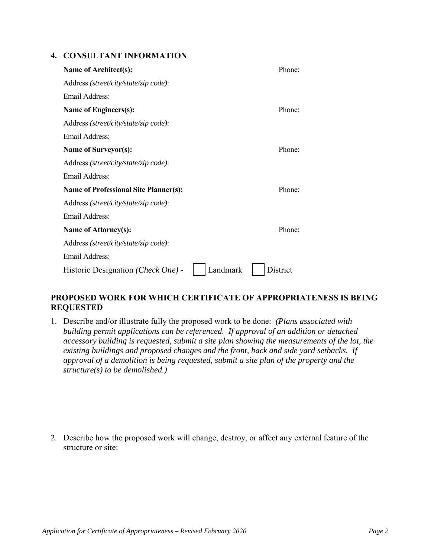#### **4. CONSULTANT INFORMATION**

| Name of Architect(s):                          | Phone:   |
|------------------------------------------------|----------|
| Address (street/city/state/zip code):          |          |
| Email Address:                                 |          |
| <b>Name of Engineers(s):</b>                   | Phone:   |
| Address (street/city/state/zip code):          |          |
| Email Address:                                 |          |
| <b>Name of Surveyor(s):</b>                    | Phone:   |
| Address (street/city/state/zip code):          |          |
| Email Address:                                 |          |
| <b>Name of Professional Site Planner(s):</b>   | Phone:   |
| Address (street/city/state/zip code):          |          |
| <b>Email Address:</b>                          |          |
| Name of Attorney(s):                           | Phone:   |
| Address (street/city/state/zip code):          |          |
| <b>Email Address:</b>                          |          |
| Landmark<br>Historic Designation (Check One) - | District |

#### **PROPOSED WORK FOR WHICH CERTIFICATE OF APPROPRIATENESS IS BEING REQUESTED**

1. Describe and/or illustrate fully the proposed work to be done: *(Plans associated with building permit applications can be referenced. If approval of an addition or detached accessory building is requested, submit a site plan showing the measurements of the lot, the existing buildings and proposed changes and the front, back and side yard setbacks. If approval of a demolition is being requested, submit a site plan of the property and the structure(s) to be demolished.)*

2. Describe how the proposed work will change, destroy, or affect any external feature of the structure or site: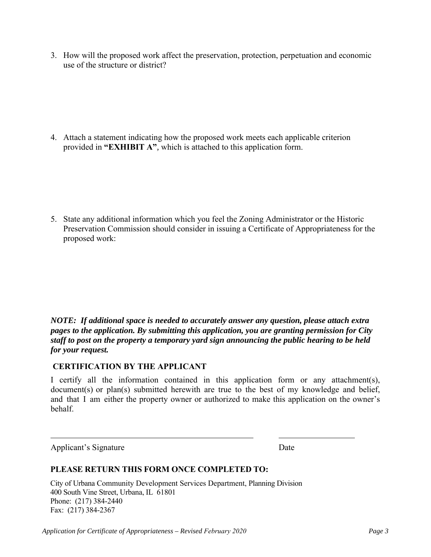3. How will the proposed work affect the preservation, protection, perpetuation and economic use of the structure or district?

4. Attach a statement indicating how the proposed work meets each applicable criterion provided in **"EXHIBIT A"***,* which is attached to this application form.

5. State any additional information which you feel the Zoning Administrator or the Historic Preservation Commission should consider in issuing a Certificate of Appropriateness for the proposed work:

*NOTE: If additional space is needed to accurately answer any question, please attach extra pages to the application. By submitting this application, you are granting permission for City staff to post on the property a temporary yard sign announcing the public hearing to be held for your request.*

#### **CERTIFICATION BY THE APPLICANT**

I certify all the information contained in this application form or any attachment(s), document(s) or plan(s) submitted herewith are true to the best of my knowledge and belief, and that I am either the property owner or authorized to make this application on the owner's behalf.

Applicant's Signature Date

#### **PLEASE RETURN THIS FORM ONCE COMPLETED TO:**

City of Urbana Community Development Services Department, Planning Division 400 South Vine Street, Urbana, IL 61801 Phone: (217) 384-2440 Fax: (217) 384-2367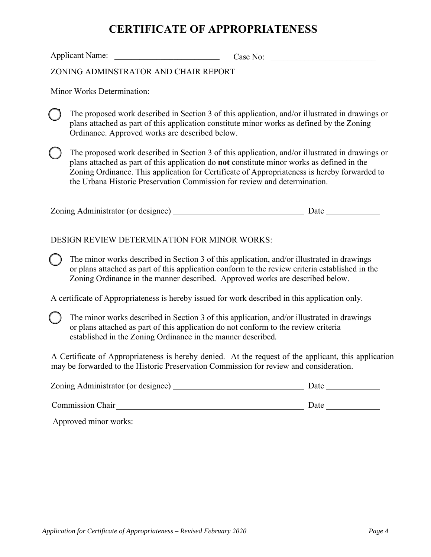# **CERTIFICATE OF APPROPRIATENESS**

Applicant Name:  $\qquad \qquad \qquad \qquad \text{Case No:}$ 

ZONING ADMINSTRATOR AND CHAIR REPORT

Minor Works Determination:

The proposed work described in Section 3 of this application, and/or illustrated in drawings or plans attached as part of this application constitute minor works as defined by the Zoning Ordinance. Approved works are described below.

The proposed work described in Section 3 of this application, and/or illustrated in drawings or plans attached as part of this application do **not** constitute minor works as defined in the Zoning Ordinance. This application for Certificate of Appropriateness is hereby forwarded to the Urbana Historic Preservation Commission for review and determination.

| Zoning Administrator (or designee) | Date |  |
|------------------------------------|------|--|
|                                    |      |  |

#### DESIGN REVIEW DETERMINATION FOR MINOR WORKS:

The minor works described in Section 3 of this application, and/or illustrated in drawings or plans attached as part of this application conform to the review criteria established in the Zoning Ordinance in the manner described*.* Approved works are described below.

A certificate of Appropriateness is hereby issued for work described in this application only.

The minor works described in Section 3 of this application, and/or illustrated in drawings or plans attached as part of this application do not conform to the review criteria established in the Zoning Ordinance in the manner described*.*

A Certificate of Appropriateness is hereby denied. At the request of the applicant, this application may be forwarded to the Historic Preservation Commission for review and consideration.

| Zoning Administrator (or designee) | Date |
|------------------------------------|------|
| <b>Commission Chair</b>            | Date |

Approved minor works: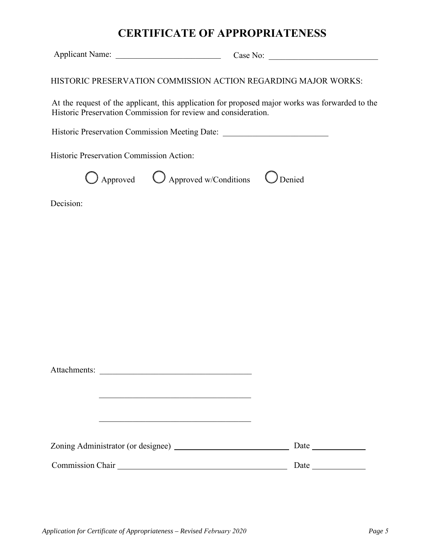## **CERTIFICATE OF APPROPRIATENESS**

Applicant Name: \_\_\_\_\_\_\_\_\_\_\_\_\_\_\_\_\_\_\_\_\_\_\_\_\_ Case No: \_\_\_\_\_\_\_\_\_\_\_\_\_\_\_\_\_\_\_\_\_\_\_\_\_\_

HISTORIC PRESERVATION COMMISSION ACTION REGARDING MAJOR WORKS:

At the request of the applicant, this application for proposed major works was forwarded to the Historic Preservation Commission for review and consideration.

Historic Preservation Commission Meeting Date: \_\_\_\_\_\_\_\_\_\_\_\_\_\_\_\_\_\_\_\_\_\_\_\_\_\_\_\_\_\_\_\_\_

Historic Preservation Commission Action:

Approved  $\bigcirc$  Approved w/Conditions  $\bigcirc$  Denied

Decision:

| Attachments:     |  |               |
|------------------|--|---------------|
|                  |  |               |
|                  |  |               |
|                  |  |               |
|                  |  |               |
|                  |  | Date $\qquad$ |
| Commission Chair |  | Date          |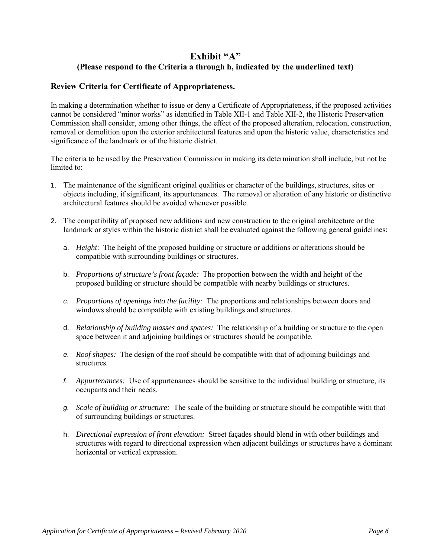## **Exhibit "A" (Please respond to the Criteria a through h, indicated by the underlined text)**

#### **Review Criteria for Certificate of Appropriateness.**

In making a determination whether to issue or deny a Certificate of Appropriateness, if the proposed activities cannot be considered "minor works" as identified in Table XII-1 and Table XII-2, the Historic Preservation Commission shall consider, among other things, the effect of the proposed alteration, relocation, construction, removal or demolition upon the exterior architectural features and upon the historic value, characteristics and significance of the landmark or of the historic district.

The criteria to be used by the Preservation Commission in making its determination shall include, but not be limited to:

- 1. The maintenance of the significant original qualities or character of the buildings, structures, sites or objects including, if significant, its appurtenances. The removal or alteration of any historic or distinctive architectural features should be avoided whenever possible.
- 2. The compatibility of proposed new additions and new construction to the original architecture or the landmark or styles within the historic district shall be evaluated against the following general guidelines:
	- a. *Height*: The height of the proposed building or structure or additions or alterations should be compatible with surrounding buildings or structures.
	- b. *Proportions of structure's front façade:* The proportion between the width and height of the proposed building or structure should be compatible with nearby buildings or structures.
	- *c. Proportions of openings into the facility:* The proportions and relationships between doors and windows should be compatible with existing buildings and structures.
	- d. *Relationship of building masses and spaces:* The relationship of a building or structure to the open space between it and adjoining buildings or structures should be compatible.
	- *e. Roof shapes:* The design of the roof should be compatible with that of adjoining buildings and structures*.*
	- *f. Appurtenances:* Use of appurtenances should be sensitive to the individual building or structure, its occupants and their needs.
	- *g. Scale of building or structure:* The scale of the building or structure should be compatible with that of surrounding buildings or structures.
	- h. *Directional expression of front elevation:* Street façades should blend in with other buildings and structures with regard to directional expression when adjacent buildings or structures have a dominant horizontal or vertical expression.